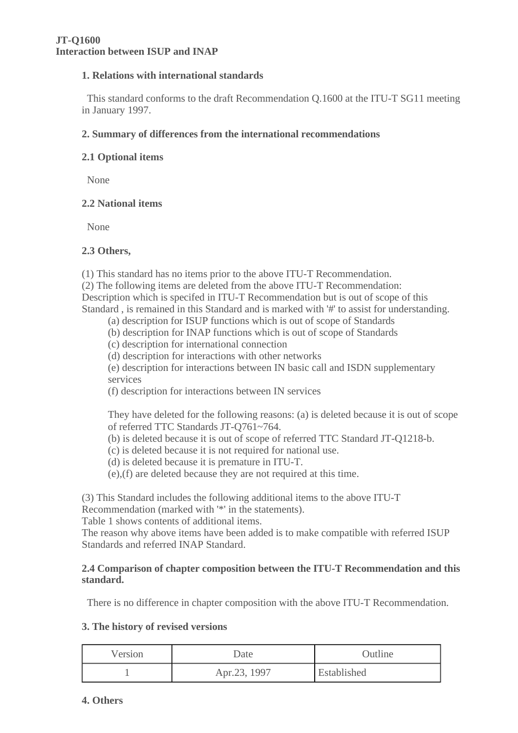### **1. Relations with international standards**

 This standard conforms to the draft Recommendation Q.1600 at the ITU-T SG11 meeting in January 1997.

#### **2. Summary of differences from the international recommendations**

#### **2.1 Optional items**

None

## **2.2 National items**

None

#### **2.3 Others,**

(1) This standard has no items prior to the above ITU-T Recommendation.

(2) The following items are deleted from the above ITU-T Recommendation:

Description which is specifed in ITU-T Recommendation but is out of scope of this Standard , is remained in this Standard and is marked with '#' to assist for understanding.

- (a) description for ISUP functions which is out of scope of Standards
- (b) description for INAP functions which is out of scope of Standards
- (c) description for international connection
- (d) description for interactions with other networks
- (e) description for interactions between IN basic call and ISDN supplementary services
- (f) description for interactions between IN services

They have deleted for the following reasons: (a) is deleted because it is out of scope of referred TTC Standards JT-Q761~764.

- (b) is deleted because it is out of scope of referred TTC Standard JT-Q1218-b.
- (c) is deleted because it is not required for national use.
- (d) is deleted because it is premature in ITU-T.

(e),(f) are deleted because they are not required at this time.

(3) This Standard includes the following additional items to the above ITU-T

Recommendation (marked with '\*' in the statements).

Table 1 shows contents of additional items.

The reason why above items have been added is to make compatible with referred ISUP Standards and referred INAP Standard.

#### **2.4 Comparison of chapter composition between the ITU-T Recommendation and this standard.**

There is no difference in chapter composition with the above ITU-T Recommendation.

#### **3. The history of revised versions**

| Version | Date         | Outline     |  |
|---------|--------------|-------------|--|
|         | Apr.23, 1997 | Established |  |